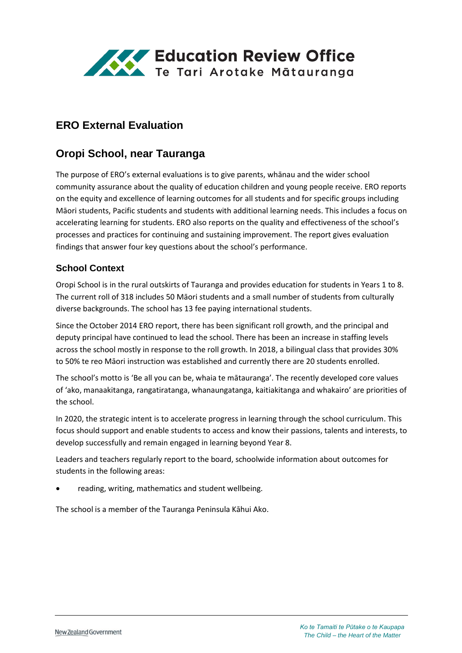

# **ERO External Evaluation**

# **Oropi School, near Tauranga**

The purpose of ERO's external evaluations is to give parents, whānau and the wider school community assurance about the quality of education children and young people receive. ERO reports on the equity and excellence of learning outcomes for all students and for specific groups including Māori students, Pacific students and students with additional learning needs. This includes a focus on accelerating learning for students. ERO also reports on the quality and effectiveness of the school's processes and practices for continuing and sustaining improvement. The report gives evaluation findings that answer four key questions about the school's performance.

#### **School Context**

Oropi School is in the rural outskirts of Tauranga and provides education for students in Years 1 to 8. The current roll of 318 includes 50 Māori students and a small number of students from culturally diverse backgrounds. The school has 13 fee paying international students.

Since the October 2014 ERO report, there has been significant roll growth, and the principal and deputy principal have continued to lead the school. There has been an increase in staffing levels across the school mostly in response to the roll growth. In 2018, a bilingual class that provides 30% to 50% te reo Māori instruction was established and currently there are 20 students enrolled.

The school's motto is 'Be all you can be, whaia te mātauranga'. The recently developed core values of 'ako, manaakitanga, rangatiratanga, whanaungatanga, kaitiakitanga and whakairo' are priorities of the school.

In 2020, the strategic intent is to accelerate progress in learning through the school curriculum. This focus should support and enable students to access and know their passions, talents and interests, to develop successfully and remain engaged in learning beyond Year 8.

Leaders and teachers regularly report to the board, schoolwide information about outcomes for students in the following areas:

• reading, writing, mathematics and student wellbeing.

The school is a member of the Tauranga Peninsula Kāhui Ako.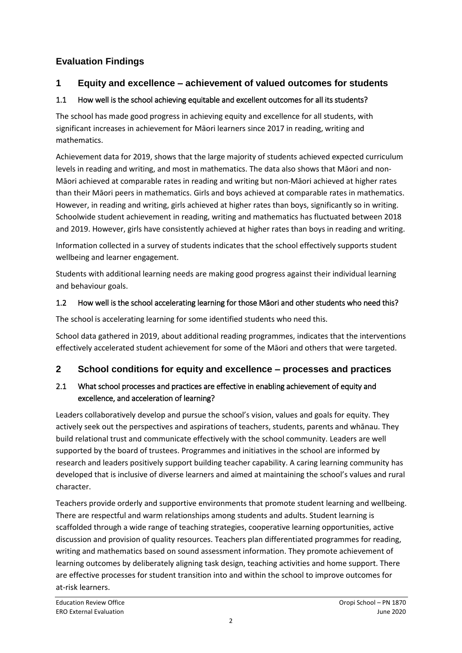# **Evaluation Findings**

## **1 Equity and excellence – achievement of valued outcomes for students**

### 1.1 How well is the school achieving equitable and excellent outcomes for all its students?

The school has made good progress in achieving equity and excellence for all students, with significant increases in achievement for Māori learners since 2017 in reading, writing and mathematics.

Achievement data for 2019, shows that the large majority of students achieved expected curriculum levels in reading and writing, and most in mathematics. The data also shows that Māori and non-Māori achieved at comparable rates in reading and writing but non-Māori achieved at higher rates than their Māori peers in mathematics. Girls and boys achieved at comparable rates in mathematics. However, in reading and writing, girls achieved at higher rates than boys, significantly so in writing. Schoolwide student achievement in reading, writing and mathematics has fluctuated between 2018 and 2019. However, girls have consistently achieved at higher rates than boys in reading and writing.

Information collected in a survey of students indicates that the school effectively supports student wellbeing and learner engagement.

Students with additional learning needs are making good progress against their individual learning and behaviour goals.

#### 1.2 How well is the school accelerating learning for those Māori and other students who need this?

The school is accelerating learning for some identified students who need this.

School data gathered in 2019, about additional reading programmes, indicates that the interventions effectively accelerated student achievement for some of the Māori and others that were targeted.

## **2 School conditions for equity and excellence – processes and practices**

### 2.1 What school processes and practices are effective in enabling achievement of equity and excellence, and acceleration of learning?

Leaders collaboratively develop and pursue the school's vision, values and goals for equity. They actively seek out the perspectives and aspirations of teachers, students, parents and whānau. They build relational trust and communicate effectively with the school community. Leaders are well supported by the board of trustees. Programmes and initiatives in the school are informed by research and leaders positively support building teacher capability. A caring learning community has developed that is inclusive of diverse learners and aimed at maintaining the school's values and rural character.

Teachers provide orderly and supportive environments that promote student learning and wellbeing. There are respectful and warm relationships among students and adults. Student learning is scaffolded through a wide range of teaching strategies, cooperative learning opportunities, active discussion and provision of quality resources. Teachers plan differentiated programmes for reading, writing and mathematics based on sound assessment information. They promote achievement of learning outcomes by deliberately aligning task design, teaching activities and home support. There are effective processes for student transition into and within the school to improve outcomes for at-risk learners.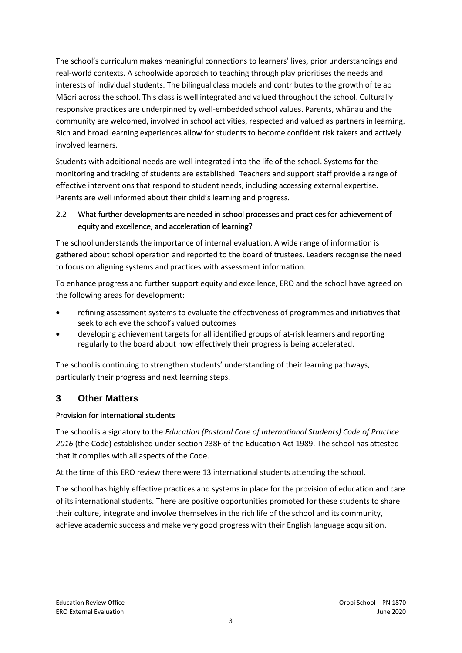The school's curriculum makes meaningful connections to learners' lives, prior understandings and real-world contexts. A schoolwide approach to teaching through play prioritises the needs and interests of individual students. The bilingual class models and contributes to the growth of te ao Māori across the school. This class is well integrated and valued throughout the school. Culturally responsive practices are underpinned by well-embedded school values. Parents, whānau and the community are welcomed, involved in school activities, respected and valued as partners in learning. Rich and broad learning experiences allow for students to become confident risk takers and actively involved learners.

Students with additional needs are well integrated into the life of the school. Systems for the monitoring and tracking of students are established. Teachers and support staff provide a range of effective interventions that respond to student needs, including accessing external expertise. Parents are well informed about their child's learning and progress.

### 2.2 What further developments are needed in school processes and practices for achievement of equity and excellence, and acceleration of learning?

The school understands the importance of internal evaluation. A wide range of information is gathered about school operation and reported to the board of trustees. Leaders recognise the need to focus on aligning systems and practices with assessment information.

To enhance progress and further support equity and excellence, ERO and the school have agreed on the following areas for development:

- refining assessment systems to evaluate the effectiveness of programmes and initiatives that seek to achieve the school's valued outcomes
- developing achievement targets for all identified groups of at-risk learners and reporting regularly to the board about how effectively their progress is being accelerated.

The school is continuing to strengthen students' understanding of their learning pathways, particularly their progress and next learning steps.

## **3 Other Matters**

#### Provision for international students

The school is a signatory to the *Education (Pastoral Care of International Students) Code of Practice 2016* (the Code) established under section 238F of the Education Act 1989. The school has attested that it complies with all aspects of the Code.

At the time of this ERO review there were 13 international students attending the school.

The school has highly effective practices and systems in place for the provision of education and care of its international students. There are positive opportunities promoted for these students to share their culture, integrate and involve themselves in the rich life of the school and its community, achieve academic success and make very good progress with their English language acquisition.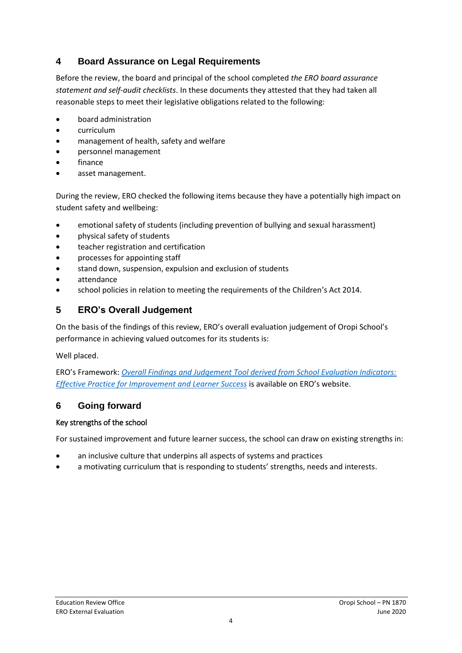## **4 Board Assurance on Legal Requirements**

Before the review, the board and principal of the school completed *the ERO board assurance statement and self-audit checklists*. In these documents they attested that they had taken all reasonable steps to meet their legislative obligations related to the following:

- board administration
- curriculum
- management of health, safety and welfare
- personnel management
- finance
- asset management.

During the review, ERO checked the following items because they have a potentially high impact on student safety and wellbeing:

- emotional safety of students (including prevention of bullying and sexual harassment)
- physical safety of students
- teacher registration and certification
- processes for appointing staff
- stand down, suspension, expulsion and exclusion of students
- attendance
- school policies in relation to meeting the requirements of the Children's Act 2014.

## **5 ERO's Overall Judgement**

On the basis of the findings of this review, ERO's overall evaluation judgement of Oropi School's performance in achieving valued outcomes for its students is:

Well placed.

ERO's Framework: *[Overall Findings and Judgement Tool derived from School Evaluation Indicators:](https://www.ero.govt.nz/assets/Uploads/ERO-18798-1-AF-Overall-findings-and-judgements-document-v4.pdf)  [Effective Practice for Improvement and Learner Success](https://www.ero.govt.nz/assets/Uploads/ERO-18798-1-AF-Overall-findings-and-judgements-document-v4.pdf)* is available on ERO's website.

#### **6 Going forward**

#### Key strengths of the school

For sustained improvement and future learner success, the school can draw on existing strengths in:

- an inclusive culture that underpins all aspects of systems and practices
- a motivating curriculum that is responding to students' strengths, needs and interests.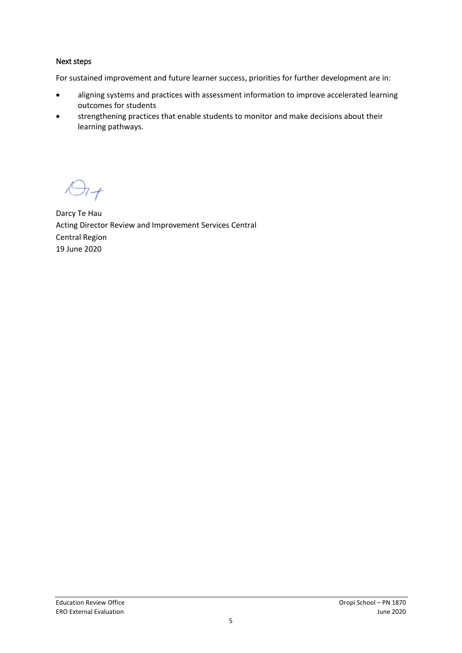#### Next steps

For sustained improvement and future learner success, priorities for further development are in:

- aligning systems and practices with assessment information to improve accelerated learning outcomes for students
- strengthening practices that enable students to monitor and make decisions about their learning pathways.

 $\Theta$ 

Darcy Te Hau Acting Director Review and Improvement Services Central Central Region 19 June 2020